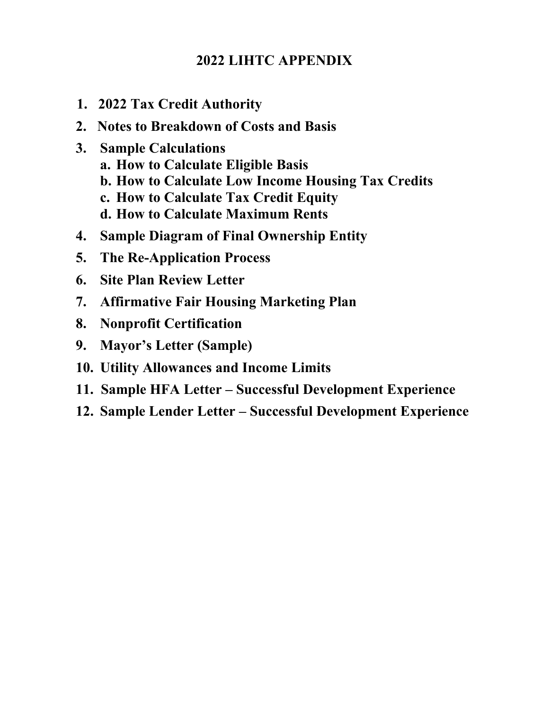# **2022 LIHTC APPENDIX**

- **1. 2022 Tax Credit Authority**
- **2. Notes to Breakdown of Costs and Basis**
- **3. Sample Calculations**
	- **a. How to Calculate Eligible Basis**
	- **b. How to Calculate Low Income Housing Tax Credits**
	- **c. How to Calculate Tax Credit Equity**
	- **d. How to Calculate Maximum Rents**
- **4. Sample Diagram of Final Ownership Entity**
- **5. The Re-Application Process**
- **6. Site Plan Review Letter**
- **7. Affirmative Fair Housing Marketing Plan**
- **8. Nonprofit Certification**
- **9. Mayor's Letter (Sample)**
- **10. Utility Allowances and Income Limits**
- **11. Sample HFA Letter Successful Development Experience**
- **12. Sample Lender Letter Successful Development Experience**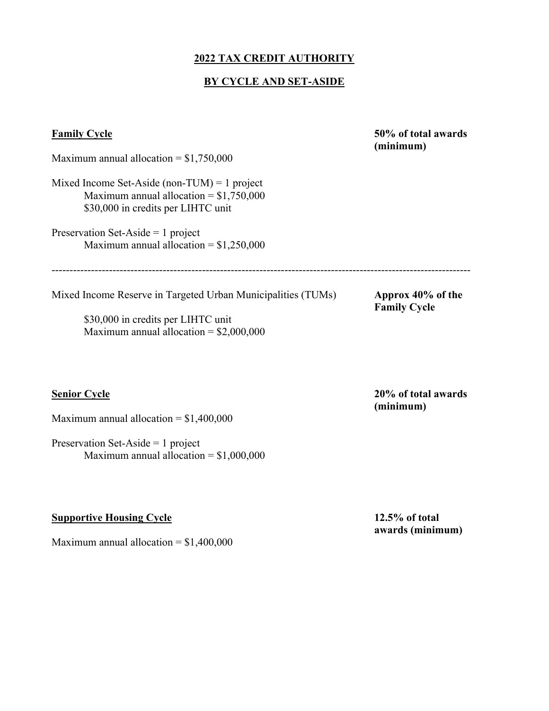## **2022 TAX CREDIT AUTHORITY**

## **BY CYCLE AND SET-ASIDE**

| <b>Family Cycle</b>                                                                                                                                 | 50% of total awards<br>(minimum)         |  |  |
|-----------------------------------------------------------------------------------------------------------------------------------------------------|------------------------------------------|--|--|
| Maximum annual allocation = $$1,750,000$                                                                                                            |                                          |  |  |
| Mixed Income Set-Aside (non-TUM) = 1 project<br>Maximum annual allocation = $$1,750,000$<br>\$30,000 in credits per LIHTC unit                      |                                          |  |  |
| Preservation Set-Aside = 1 project<br>Maximum annual allocation = $$1,250,000$                                                                      |                                          |  |  |
| Mixed Income Reserve in Targeted Urban Municipalities (TUMs)<br>\$30,000 in credits per LIHTC unit<br>Maximum annual allocation = $$2,000,000$      | Approx 40% of the<br><b>Family Cycle</b> |  |  |
| <b>Senior Cycle</b><br>Maximum annual allocation = $$1,400,000$<br>Preservation Set-Aside = $1$ project<br>Maximum annual allocation = $$1,000,000$ | 20% of total awards<br>(minimum)         |  |  |
| <b>Supportive Housing Cycle</b>                                                                                                                     | $12.5%$ of total                         |  |  |

**awards (minimum)** 

Maximum annual allocation = \$1,400,000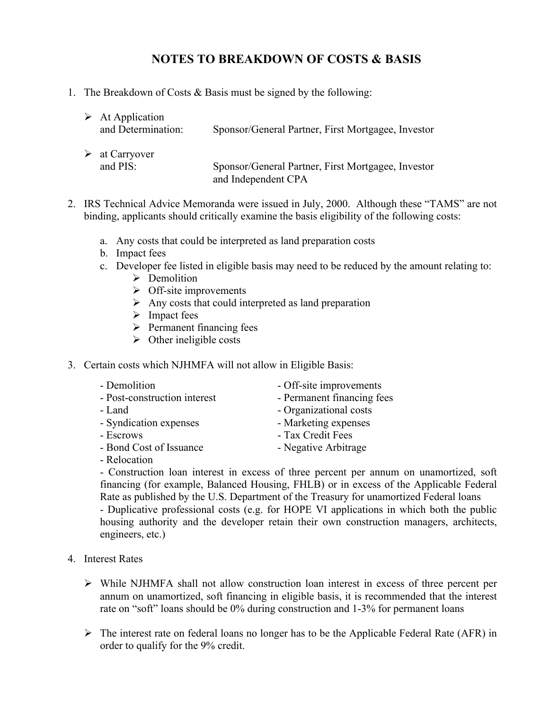## **NOTES TO BREAKDOWN OF COSTS & BASIS**

1. The Breakdown of Costs & Basis must be signed by the following:

| $\triangleright$ At Application<br>and Determination: | Sponsor/General Partner, First Mortgagee, Investor |
|-------------------------------------------------------|----------------------------------------------------|
| $\triangleright$ at Carryover                         | Sponsor/General Partner, First Mortgagee, Investor |
| and PIS:                                              | and Independent CPA                                |

- 2. IRS Technical Advice Memoranda were issued in July, 2000. Although these "TAMS" are not binding, applicants should critically examine the basis eligibility of the following costs:
	- a. Any costs that could be interpreted as land preparation costs
	- b. Impact fees
	- c. Developer fee listed in eligible basis may need to be reduced by the amount relating to:
		- $\triangleright$  Demolition
		- $\triangleright$  Off-site improvements
		- $\triangleright$  Any costs that could interpreted as land preparation
		- $\triangleright$  Impact fees
		- $\triangleright$  Permanent financing fees
		- $\triangleright$  Other ineligible costs
- 3. Certain costs which NJHMFA will not allow in Eligible Basis:

| - Demolition                 | - Off-site improvements    |
|------------------------------|----------------------------|
| - Post-construction interest | - Permanent financing fees |
| - Land                       | - Organizational costs     |
| - Syndication expenses       | - Marketing expenses       |
| - Escrows                    | - Tax Credit Fees          |
| - Bond Cost of Issuance      | - Negative Arbitrage       |
| $\mathbf{D}$ 1 $\mathbf{I}$  |                            |

- Relocation

- Construction loan interest in excess of three percent per annum on unamortized, soft financing (for example, Balanced Housing, FHLB) or in excess of the Applicable Federal Rate as published by the U.S. Department of the Treasury for unamortized Federal loans - Duplicative professional costs (e.g. for HOPE VI applications in which both the public housing authority and the developer retain their own construction managers, architects, engineers, etc.)

- 4. Interest Rates
	- $\triangleright$  While NJHMFA shall not allow construction loan interest in excess of three percent per annum on unamortized, soft financing in eligible basis, it is recommended that the interest rate on "soft" loans should be 0% during construction and 1-3% for permanent loans
	- $\triangleright$  The interest rate on federal loans no longer has to be the Applicable Federal Rate (AFR) in order to qualify for the 9% credit.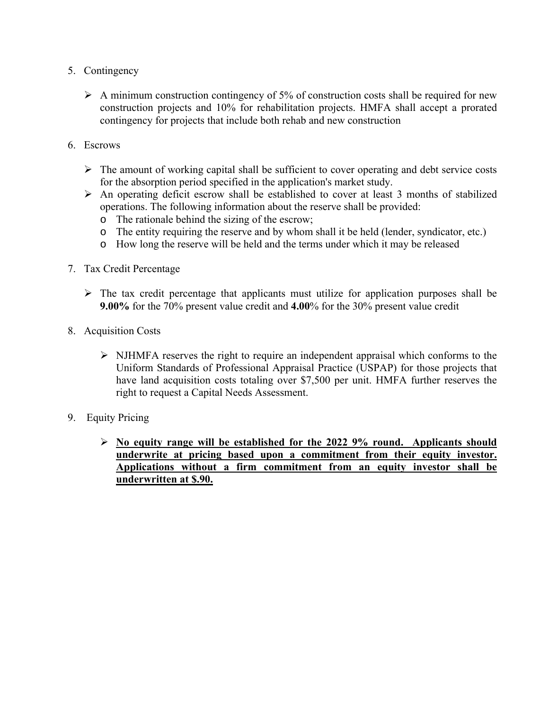- 5. Contingency
	- $\triangleright$  A minimum construction contingency of 5% of construction costs shall be required for new construction projects and 10% for rehabilitation projects. HMFA shall accept a prorated contingency for projects that include both rehab and new construction
- 6. Escrows
	- $\triangleright$  The amount of working capital shall be sufficient to cover operating and debt service costs for the absorption period specified in the application's market study.
	- $\triangleright$  An operating deficit escrow shall be established to cover at least 3 months of stabilized operations. The following information about the reserve shall be provided:
		- o The rationale behind the sizing of the escrow;
		- o The entity requiring the reserve and by whom shall it be held (lender, syndicator, etc.)
		- o How long the reserve will be held and the terms under which it may be released
- 7. Tax Credit Percentage
	- $\triangleright$  The tax credit percentage that applicants must utilize for application purposes shall be **9.00%** for the 70% present value credit and **4.00**% for the 30% present value credit
- 8. Acquisition Costs
	- $\triangleright$  NJHMFA reserves the right to require an independent appraisal which conforms to the Uniform Standards of Professional Appraisal Practice (USPAP) for those projects that have land acquisition costs totaling over \$7,500 per unit. HMFA further reserves the right to request a Capital Needs Assessment.
- 9. Equity Pricing
	- **No equity range will be established for the 2022 9% round. Applicants should underwrite at pricing based upon a commitment from their equity investor. Applications without a firm commitment from an equity investor shall be underwritten at \$.90.**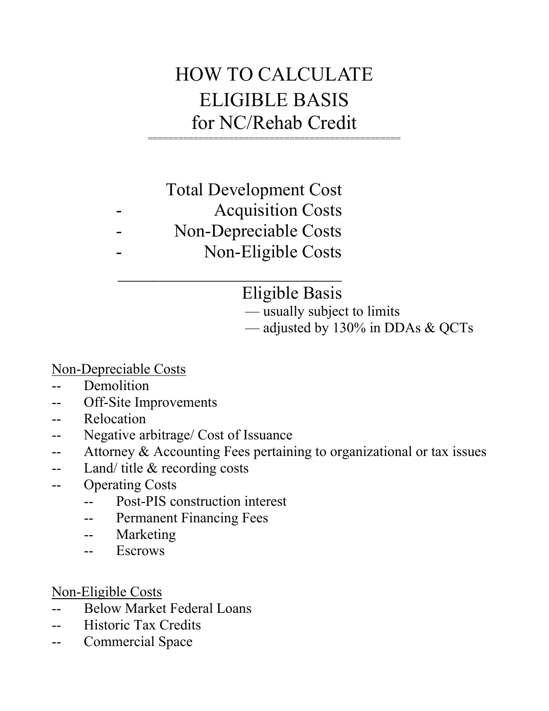# HOW TO CALCULATE ELIGIBLE BASIS for NC/Rehab Credit

# Total Development Cost Acquisition Costs Non-Depreciable Costs Non-Eligible Costs

 $\mathcal{L}_\text{max} = \frac{1}{2} \sum_{i=1}^{n} \frac{1}{2} \sum_{i=1}^{n} \frac{1}{2} \sum_{i=1}^{n} \frac{1}{2} \sum_{i=1}^{n} \frac{1}{2} \sum_{i=1}^{n} \frac{1}{2} \sum_{i=1}^{n} \frac{1}{2} \sum_{i=1}^{n} \frac{1}{2} \sum_{i=1}^{n} \frac{1}{2} \sum_{i=1}^{n} \frac{1}{2} \sum_{i=1}^{n} \frac{1}{2} \sum_{i=1}^{n} \frac{1}{2} \sum_{i=1}^{n} \frac{1$ 

# Eligible Basis

— usually subject to limits

— adjusted by 130% in DDAs & QCTs

Non-Depreciable Costs

- -- Demolition
- -- Off-Site Improvements
- -- Relocation
- -- Negative arbitrage/ Cost of Issuance
- -- Attorney & Accounting Fees pertaining to organizational or tax issues
- -- Land/ title & recording costs
- -- Operating Costs
	- -- Post-PIS construction interest
	- -- Permanent Financing Fees
	- -- Marketing
	- -- Escrows

Non-Eligible Costs

- -- Below Market Federal Loans
- -- Historic Tax Credits
- -- Commercial Space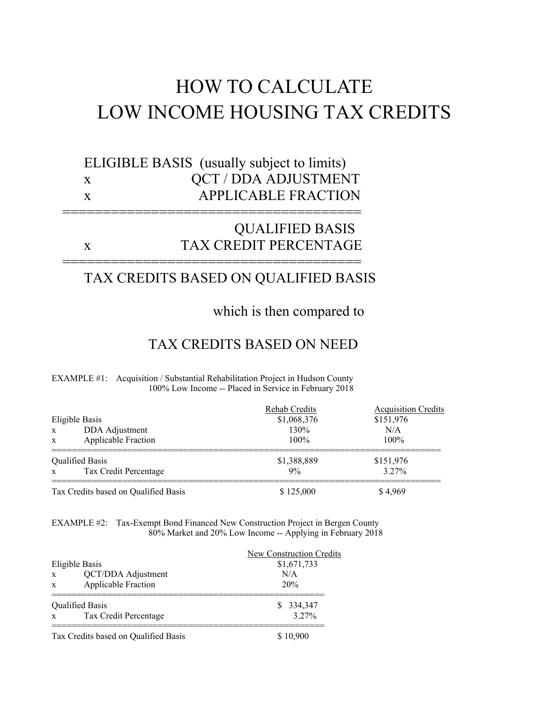# HOW TO CALCULATE LOW INCOME HOUSING TAX CREDITS

# ELIGIBLE BASIS (usually subject to limits) x QCT / DDA ADJUSTMENT x APPLICABLE FRACTION

=====================================

=====================================

# QUALIFIED BASIS x TAX CREDIT PERCENTAGE

## TAX CREDITS BASED ON QUALIFIED BASIS

which is then compared to

## TAX CREDITS BASED ON NEED

#### EXAMPLE #1: Acquisition / Substantial Rehabilitation Project in Hudson County 100% Low Income -- Placed in Service in February 2018

|                                            | Rehab Credits | <b>Acquisition Credits</b> |
|--------------------------------------------|---------------|----------------------------|
| Eligible Basis                             | \$1,068,376   | \$151,976                  |
| DDA Adjustment<br>$\mathbf{x}$             | 130%          | N/A                        |
| <b>Applicable Fraction</b><br>$\mathbf{x}$ | $100\%$       | $100\%$                    |
| <b>Oualified Basis</b>                     | \$1,388,889   | \$151,976                  |
| Tax Credit Percentage<br>$\mathbf{x}$      | 9%            | $3.27\%$                   |
| Tax Credits based on Qualified Basis       | \$125,000     | \$ 4.969                   |

EXAMPLE #2: Tax-Exempt Bond Financed New Construction Project in Bergen County 80% Market and 20% Low Income -- Applying in February 2018

|              |                                      | New Construction Credits |
|--------------|--------------------------------------|--------------------------|
|              | Eligible Basis                       | \$1,671,733              |
| $\mathbf{x}$ | QCT/DDA Adjustment                   | N/A                      |
| $\mathbf{x}$ | Applicable Fraction                  | 20%                      |
|              | <b>Qualified Basis</b>               | \$ 334,347               |
| $\mathbf{x}$ | Tax Credit Percentage                | 3.27%                    |
|              | Tax Credits based on Qualified Basis | \$10.900                 |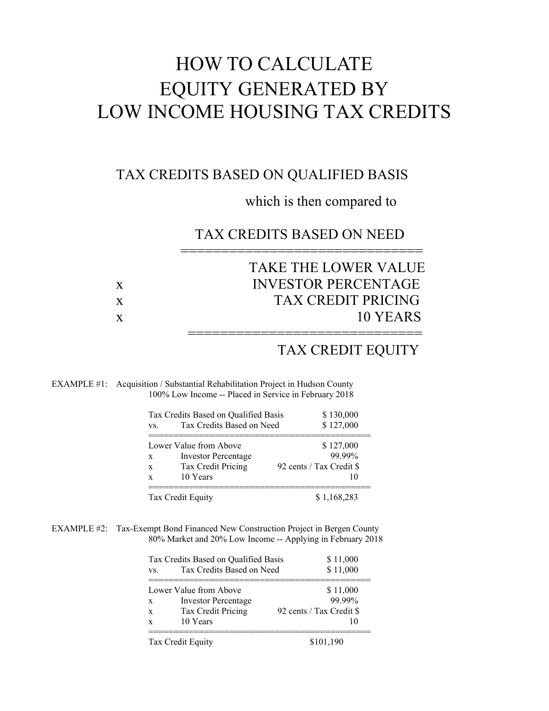# HOW TO CALCULATE EQUITY GENERATED BY LOW INCOME HOUSING TAX CREDITS

## TAX CREDITS BASED ON QUALIFIED BASIS

## which is then compared to

## TAX CREDITS BASED ON NEED

|   | TAKE THE LOWER VALUE       |
|---|----------------------------|
| X | <b>INVESTOR PERCENTAGE</b> |
| X | <b>TAX CREDIT PRICING</b>  |
| X | 10 YEARS                   |
|   |                            |

==============================

## TAX CREDIT EQUITY

#### EXAMPLE #1: Acquisition / Substantial Rehabilitation Project in Hudson County 100% Low Income -- Placed in Service in February 2018

| VS. | Tax Credits Based on Qualified Basis<br>Tax Credits Based on Need | \$130,000<br>\$127,000   |
|-----|-------------------------------------------------------------------|--------------------------|
|     | Lower Value from Above                                            | \$127,000                |
| X   | Investor Percentage                                               | 99.99%                   |
| X   | Tax Credit Pricing                                                | 92 cents / Tax Credit \$ |
| X   | 10 Years                                                          |                          |

EXAMPLE #2: Tax-Exempt Bond Financed New Construction Project in Bergen County 80% Market and 20% Low Income -- Applying in February 2018

| VS.          | Tax Credits Based on Qualified Basis<br>Tax Credits Based on Need | \$11,000<br>\$11,000     |
|--------------|-------------------------------------------------------------------|--------------------------|
|              | Lower Value from Above                                            | \$11,000                 |
| $\mathbf{X}$ | <b>Investor Percentage</b>                                        | 99 99%                   |
| X            | Tax Credit Pricing                                                | 92 cents / Tax Credit \$ |
| X            | 10 Years                                                          |                          |

Tax Credit Equity \$101,190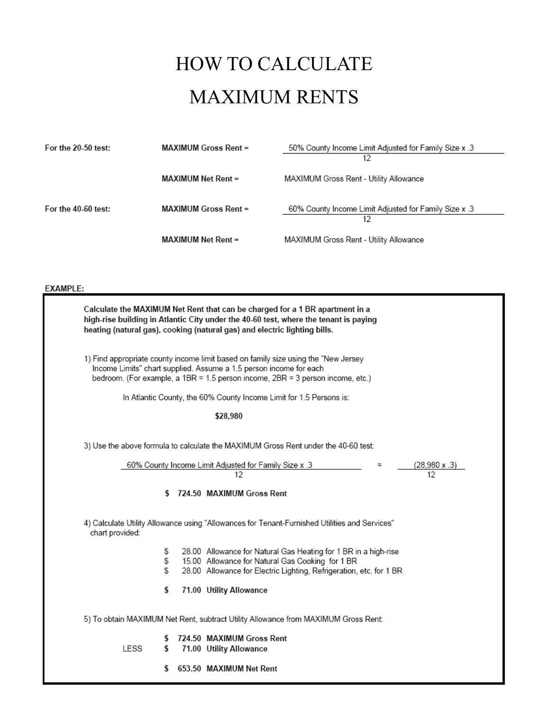# HOW TO CALCULATE MAXIMUM RENTS

| For the $20-50$ test: | <b>MAXIMUM Gross Rent =</b> | 50% County Income Limit Adjusted for Family Size x .3<br>12 |
|-----------------------|-----------------------------|-------------------------------------------------------------|
|                       | <b>MAXIMUM Net Rent =</b>   | MAXIMUM Gross Rent - Utility Allowance                      |
| For the $40-60$ test: | <b>MAXIMUM Gross Rent =</b> | 60% County Income Limit Adjusted for Family Size x .3<br>12 |
|                       | <b>MAXIMUM Net Rent =</b>   | MAXIMUM Gross Rent - Utility Allowance                      |

## EXAMPLE:

|                 | Calculate the MAXIMUM Net Rent that can be charged for a 1 BR apartment in a<br>high-rise building in Atlantic City under the 40-60 test, where the tenant is paying<br>heating (natural gas), cooking (natural gas) and electric lighting bills. |                                                                                                                                                                                                                                            |                      |  |  |  |
|-----------------|---------------------------------------------------------------------------------------------------------------------------------------------------------------------------------------------------------------------------------------------------|--------------------------------------------------------------------------------------------------------------------------------------------------------------------------------------------------------------------------------------------|----------------------|--|--|--|
|                 |                                                                                                                                                                                                                                                   | 1) Find appropriate county income limit based on family size using the "New Jersey<br>Income Limits" chart supplied. Assume a 1.5 person income for each<br>bedroom. (For example, a 1BR = 1.5 person income, 2BR = 3 person income, etc.) |                      |  |  |  |
|                 |                                                                                                                                                                                                                                                   | In Atlantic County, the 60% County Income Limit for 1.5 Persons is:                                                                                                                                                                        |                      |  |  |  |
|                 |                                                                                                                                                                                                                                                   | \$28,980                                                                                                                                                                                                                                   |                      |  |  |  |
|                 |                                                                                                                                                                                                                                                   | 3) Use the above formula to calculate the MAXIMUM Gross Rent under the 40-60 test:<br>60% County Income Limit Adjusted for Family Size x .3                                                                                                | $(28,980 \times .3)$ |  |  |  |
|                 |                                                                                                                                                                                                                                                   | 12<br>\$724.50 MAXIMUM Gross Rent                                                                                                                                                                                                          | 12                   |  |  |  |
| chart provided: |                                                                                                                                                                                                                                                   | 4) Calculate Utility Allowance using "Allowances for Tenant-Furnished Utilities and Services"                                                                                                                                              |                      |  |  |  |
| S<br>S<br>S     |                                                                                                                                                                                                                                                   | 28.00 Allowance for Natural Gas Heating for 1 BR in a high-rise<br>15.00 Allowance for Natural Gas Cooking for 1 BR<br>28.00 Allowance for Electric Lighting, Refrigeration, etc. for 1 BR                                                 |                      |  |  |  |
| \$              |                                                                                                                                                                                                                                                   | 71.00 Utility Allowance                                                                                                                                                                                                                    |                      |  |  |  |
|                 |                                                                                                                                                                                                                                                   | 5) To obtain MAXIMUM Net Rent, subtract Utility Allowance from MAXIMUM Gross Rent:                                                                                                                                                         |                      |  |  |  |
| LESS<br>s       |                                                                                                                                                                                                                                                   | 724.50 MAXIMUM Gross Rent<br>71.00 Utility Allowance                                                                                                                                                                                       |                      |  |  |  |
| s               |                                                                                                                                                                                                                                                   | 653.50 MAXIMUM Net Rent                                                                                                                                                                                                                    |                      |  |  |  |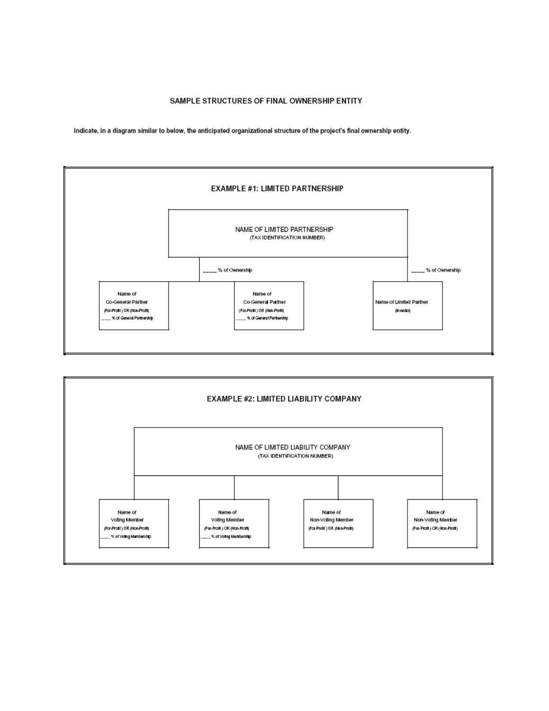#### SAMPLE STRUCTURES OF FINAL OWNERSHIP ENTITY

Indicate, in a diagram similar to below, the anticipated organizational structure of the project's final ownership entity.



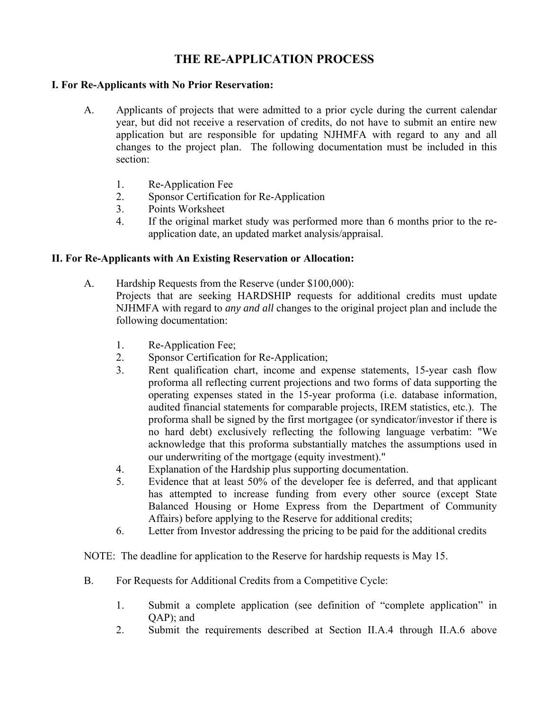## **THE RE-APPLICATION PROCESS**

### **I. For Re-Applicants with No Prior Reservation:**

- A. Applicants of projects that were admitted to a prior cycle during the current calendar year, but did not receive a reservation of credits, do not have to submit an entire new application but are responsible for updating NJHMFA with regard to any and all changes to the project plan. The following documentation must be included in this section:
	- 1. Re-Application Fee
	- 2. Sponsor Certification for Re-Application
	- 3. Points Worksheet
	- 4. If the original market study was performed more than 6 months prior to the reapplication date, an updated market analysis/appraisal.

### **II. For Re-Applicants with An Existing Reservation or Allocation:**

- A. Hardship Requests from the Reserve (under \$100,000): Projects that are seeking HARDSHIP requests for additional credits must update NJHMFA with regard to *any and all* changes to the original project plan and include the following documentation:
	- 1. Re-Application Fee;
	- 2. Sponsor Certification for Re-Application;
	- 3. Rent qualification chart, income and expense statements, 15-year cash flow proforma all reflecting current projections and two forms of data supporting the operating expenses stated in the 15-year proforma (i.e. database information, audited financial statements for comparable projects, IREM statistics, etc.). The proforma shall be signed by the first mortgagee (or syndicator/investor if there is no hard debt) exclusively reflecting the following language verbatim: "We acknowledge that this proforma substantially matches the assumptions used in our underwriting of the mortgage (equity investment)."
	- 4. Explanation of the Hardship plus supporting documentation.
	- 5. Evidence that at least 50% of the developer fee is deferred, and that applicant has attempted to increase funding from every other source (except State Balanced Housing or Home Express from the Department of Community Affairs) before applying to the Reserve for additional credits;
	- 6. Letter from Investor addressing the pricing to be paid for the additional credits

NOTE: The deadline for application to the Reserve for hardship requests is May 15.

- B. For Requests for Additional Credits from a Competitive Cycle:
	- 1. Submit a complete application (see definition of "complete application" in QAP); and
	- 2. Submit the requirements described at Section II.A.4 through II.A.6 above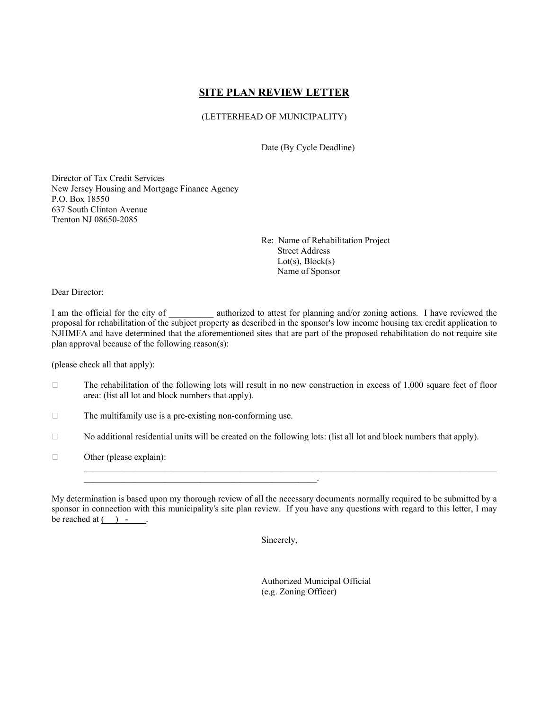### **SITE PLAN REVIEW LETTER**

#### (LETTERHEAD OF MUNICIPALITY)

Date (By Cycle Deadline)

Director of Tax Credit Services New Jersey Housing and Mortgage Finance Agency P.O. Box 18550 637 South Clinton Avenue Trenton NJ 08650-2085

> Re: Name of Rehabilitation Project Street Address  $Lot(s)$ ,  $Block(s)$ Name of Sponsor

Dear Director:

I am the official for the city of \_\_\_\_\_\_\_\_\_\_ authorized to attest for planning and/or zoning actions. I have reviewed the proposal for rehabilitation of the subject property as described in the sponsor's low income housing tax credit application to NJHMFA and have determined that the aforementioned sites that are part of the proposed rehabilitation do not require site plan approval because of the following reason(s):

(please check all that apply):

- $\Box$  The rehabilitation of the following lots will result in no new construction in excess of 1,000 square feet of floor area: (list all lot and block numbers that apply).
- $\Box$  The multifamily use is a pre-existing non-conforming use.

 $\mathcal{L}_\text{max} = \mathcal{L}_\text{max} = \mathcal{L}_\text{max} = \mathcal{L}_\text{max} = \mathcal{L}_\text{max} = \mathcal{L}_\text{max} = \mathcal{L}_\text{max} = \mathcal{L}_\text{max} = \mathcal{L}_\text{max} = \mathcal{L}_\text{max} = \mathcal{L}_\text{max} = \mathcal{L}_\text{max} = \mathcal{L}_\text{max} = \mathcal{L}_\text{max} = \mathcal{L}_\text{max} = \mathcal{L}_\text{max} = \mathcal{L}_\text{max} = \mathcal{L}_\text{max} = \mathcal{$ 

- $\Box$  No additional residential units will be created on the following lots: (list all lot and block numbers that apply).
- $\Box$  Other (please explain):

My determination is based upon my thorough review of all the necessary documents normally required to be submitted by a sponsor in connection with this municipality's site plan review. If you have any questions with regard to this letter, I may be reached at  $( )$  -  $.$ 

 $\mathcal{L}_\mathcal{L} = \mathcal{L}_\mathcal{L} = \mathcal{L}_\mathcal{L} = \mathcal{L}_\mathcal{L} = \mathcal{L}_\mathcal{L} = \mathcal{L}_\mathcal{L} = \mathcal{L}_\mathcal{L} = \mathcal{L}_\mathcal{L} = \mathcal{L}_\mathcal{L} = \mathcal{L}_\mathcal{L} = \mathcal{L}_\mathcal{L} = \mathcal{L}_\mathcal{L} = \mathcal{L}_\mathcal{L} = \mathcal{L}_\mathcal{L} = \mathcal{L}_\mathcal{L} = \mathcal{L}_\mathcal{L} = \mathcal{L}_\mathcal{L}$ 

Sincerely,

 Authorized Municipal Official (e.g. Zoning Officer)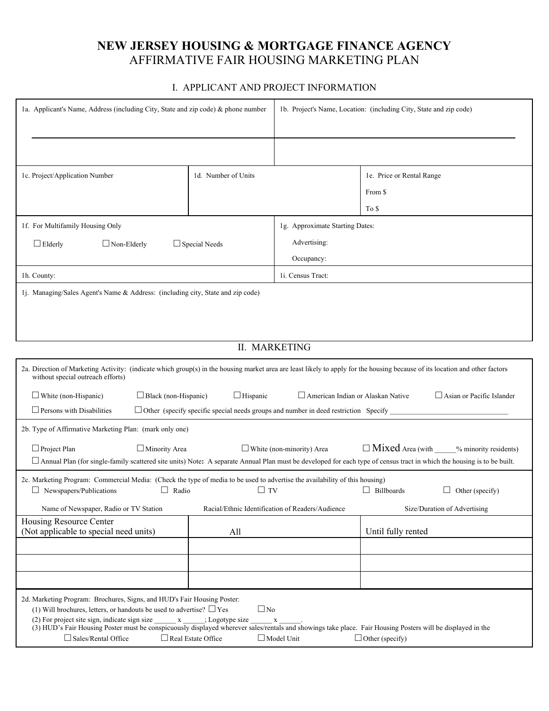## **NEW JERSEY HOUSING & MORTGAGE FINANCE AGENCY** AFFIRMATIVE FAIR HOUSING MARKETING PLAN

#### I. APPLICANT AND PROJECT INFORMATION

| 1a. Applicant's Name, Address (including City, State and zip code) & phone number                                                                                                                                                                                                                                                                                                                                                                                                                                               |                      |                                                  | 1b. Project's Name, Location: (including City, State and zip code) |  |
|---------------------------------------------------------------------------------------------------------------------------------------------------------------------------------------------------------------------------------------------------------------------------------------------------------------------------------------------------------------------------------------------------------------------------------------------------------------------------------------------------------------------------------|----------------------|--------------------------------------------------|--------------------------------------------------------------------|--|
| 1c. Project/Application Number                                                                                                                                                                                                                                                                                                                                                                                                                                                                                                  | 1d. Number of Units  |                                                  | 1e. Price or Rental Range                                          |  |
|                                                                                                                                                                                                                                                                                                                                                                                                                                                                                                                                 |                      |                                                  | From \$                                                            |  |
|                                                                                                                                                                                                                                                                                                                                                                                                                                                                                                                                 |                      |                                                  | To \$                                                              |  |
| 1f. For Multifamily Housing Only                                                                                                                                                                                                                                                                                                                                                                                                                                                                                                |                      | 1g. Approximate Starting Dates:                  |                                                                    |  |
| $\Box$ Non-Elderly<br>$\Box$ Elderly                                                                                                                                                                                                                                                                                                                                                                                                                                                                                            | $\Box$ Special Needs | Advertising:                                     |                                                                    |  |
|                                                                                                                                                                                                                                                                                                                                                                                                                                                                                                                                 |                      | Occupancy:                                       |                                                                    |  |
| 1h. County:                                                                                                                                                                                                                                                                                                                                                                                                                                                                                                                     |                      | 1i. Census Tract:                                |                                                                    |  |
| 1j. Managing/Sales Agent's Name & Address: (including city, State and zip code)                                                                                                                                                                                                                                                                                                                                                                                                                                                 |                      |                                                  |                                                                    |  |
|                                                                                                                                                                                                                                                                                                                                                                                                                                                                                                                                 |                      |                                                  |                                                                    |  |
|                                                                                                                                                                                                                                                                                                                                                                                                                                                                                                                                 |                      |                                                  |                                                                    |  |
|                                                                                                                                                                                                                                                                                                                                                                                                                                                                                                                                 | <b>II. MARKETING</b> |                                                  |                                                                    |  |
| 2a. Direction of Marketing Activity: (indicate which group(s) in the housing market area are least likely to apply for the housing because of its location and other factors<br>without special outreach efforts)                                                                                                                                                                                                                                                                                                               |                      |                                                  |                                                                    |  |
| $\Box$ Black (non-Hispanic)<br>$\Box$ White (non-Hispanic)                                                                                                                                                                                                                                                                                                                                                                                                                                                                      | $\Box$ Hispanic      | American Indian or Alaskan Native                | Asian or Pacific Islander                                          |  |
| $\Box$ Persons with Disabilities<br>$\Box$ Other (specify specific special needs groups and number in deed restriction Specify                                                                                                                                                                                                                                                                                                                                                                                                  |                      |                                                  |                                                                    |  |
| 2b. Type of Affirmative Marketing Plan: (mark only one)                                                                                                                                                                                                                                                                                                                                                                                                                                                                         |                      |                                                  |                                                                    |  |
| $\Box$ Project Plan<br>Minority Area<br>□ Annual Plan (for single-family scattered site units) Note: A separate Annual Plan must be developed for each type of census tract in which the housing is to be built.                                                                                                                                                                                                                                                                                                                |                      | $\Box$ White (non-minority) Area                 | □ Mixed Area (with _____% minority residents)                      |  |
| 2c. Marketing Program: Commercial Media: (Check the type of media to be used to advertise the availability of this housing)<br>Radio<br>$\Box$ Newspapers/Publications<br>Ш                                                                                                                                                                                                                                                                                                                                                     | $\Box$ TV            |                                                  | Billboards<br>Other (specify)                                      |  |
| Name of Newspaper, Radio or TV Station                                                                                                                                                                                                                                                                                                                                                                                                                                                                                          |                      | Racial/Ethnic Identification of Readers/Audience | Size/Duration of Advertising                                       |  |
| Housing Resource Center<br>(Not applicable to special need units)                                                                                                                                                                                                                                                                                                                                                                                                                                                               | All                  |                                                  | Until fully rented                                                 |  |
|                                                                                                                                                                                                                                                                                                                                                                                                                                                                                                                                 |                      |                                                  |                                                                    |  |
|                                                                                                                                                                                                                                                                                                                                                                                                                                                                                                                                 |                      |                                                  |                                                                    |  |
|                                                                                                                                                                                                                                                                                                                                                                                                                                                                                                                                 |                      |                                                  |                                                                    |  |
| 2d. Marketing Program: Brochures, Signs, and HUD's Fair Housing Poster:<br>$\Box$ No<br>(1) Will brochures, letters, or handouts be used to advertise? $\Box$ Yes<br>(2) For project site sign, indicate sign size<br>$\mathbf{x}$<br>; Logotype size<br>$\mathbf X$<br>(3) HUD's Fair Housing Poster must be conspicuously displayed wherever sales/rentals and showings take place. Fair Housing Posters will be displayed in the<br>Sales/Rental Office<br>Real Estate Office<br>$\Box$ Model Unit<br>$\Box$ Other (specify) |                      |                                                  |                                                                    |  |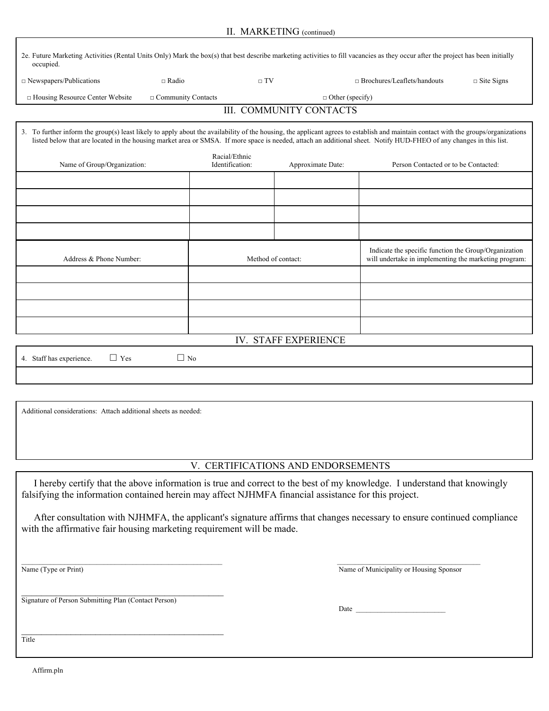| 2e. Future Marketing Activities (Rental Units Only) Mark the box(s) that best describe marketing activities to fill vacancies as they occur after the project has been initially<br>occupied.                                                                                                                                                              |                                  |                                |                                                                                                                |                   |
|------------------------------------------------------------------------------------------------------------------------------------------------------------------------------------------------------------------------------------------------------------------------------------------------------------------------------------------------------------|----------------------------------|--------------------------------|----------------------------------------------------------------------------------------------------------------|-------------------|
| $\Box$ Newspapers/Publications<br>$\sqcap$ Radio                                                                                                                                                                                                                                                                                                           | $\sqcap TV$                      |                                | $\Box$ Brochures/Leaflets/handouts                                                                             | $\Box$ Site Signs |
| $\Box$ Housing Resource Center Website<br>$\Box$ Community Contacts                                                                                                                                                                                                                                                                                        |                                  | $\Box$ Other (specify)         |                                                                                                                |                   |
|                                                                                                                                                                                                                                                                                                                                                            |                                  | <b>III. COMMUNITY CONTACTS</b> |                                                                                                                |                   |
| 3. To further inform the group(s) least likely to apply about the availability of the housing, the applicant agrees to establish and maintain contact with the groups/organizations<br>listed below that are located in the housing market area or SMSA. If more space is needed, attach an additional sheet. Notify HUD-FHEO of any changes in this list. |                                  |                                |                                                                                                                |                   |
| Name of Group/Organization:                                                                                                                                                                                                                                                                                                                                | Racial/Ethnic<br>Identification: | Approximate Date:              | Person Contacted or to be Contacted:                                                                           |                   |
|                                                                                                                                                                                                                                                                                                                                                            |                                  |                                |                                                                                                                |                   |
|                                                                                                                                                                                                                                                                                                                                                            |                                  |                                |                                                                                                                |                   |
|                                                                                                                                                                                                                                                                                                                                                            |                                  |                                |                                                                                                                |                   |
|                                                                                                                                                                                                                                                                                                                                                            |                                  |                                |                                                                                                                |                   |
| Address & Phone Number:                                                                                                                                                                                                                                                                                                                                    | Method of contact:               |                                | Indicate the specific function the Group/Organization<br>will undertake in implementing the marketing program: |                   |
|                                                                                                                                                                                                                                                                                                                                                            |                                  |                                |                                                                                                                |                   |
|                                                                                                                                                                                                                                                                                                                                                            |                                  |                                |                                                                                                                |                   |
|                                                                                                                                                                                                                                                                                                                                                            |                                  |                                |                                                                                                                |                   |

Additional considerations: Attach additional sheets as needed:

### V. CERTIFICATIONS AND ENDORSEMENTS

IV. STAFF EXPERIENCE

 I hereby certify that the above information is true and correct to the best of my knowledge. I understand that knowingly falsifying the information contained herein may affect NJHMFA financial assistance for this project.

 After consultation with NJHMFA, the applicant's signature affirms that changes necessary to ensure continued compliance with the affirmative fair housing marketing requirement will be made.

Name (Type or Print) Name of Municipality or Housing Sponsor

Signature of Person Submitting Plan (Contact Person)

\_\_\_\_\_\_\_\_\_\_\_\_\_\_\_\_\_\_\_\_\_\_\_\_\_\_\_\_\_\_\_\_\_\_\_\_\_\_\_\_\_

4. Staff has experience.  $\Box$  Yes  $\Box$  No

 $\Box$  Date

 $\mathcal{L}_\text{max}$ Title

Affirm.pln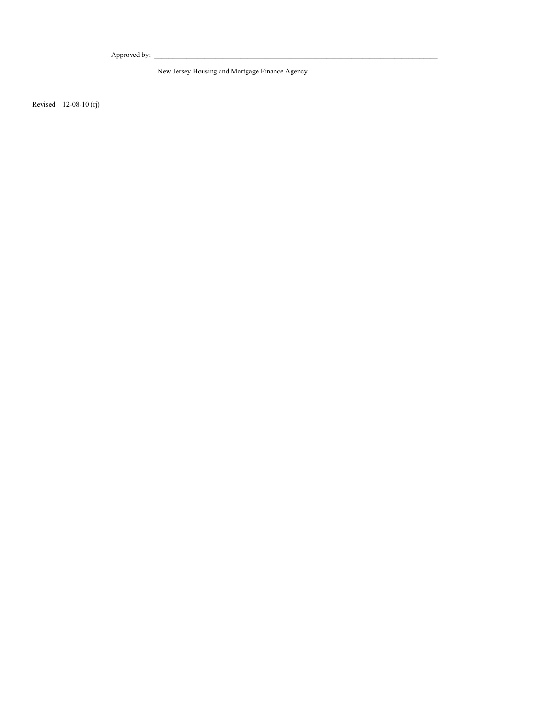Approved by:

New Jersey Housing and Mortgage Finance Agency

Revised – 12-08-10 (rj)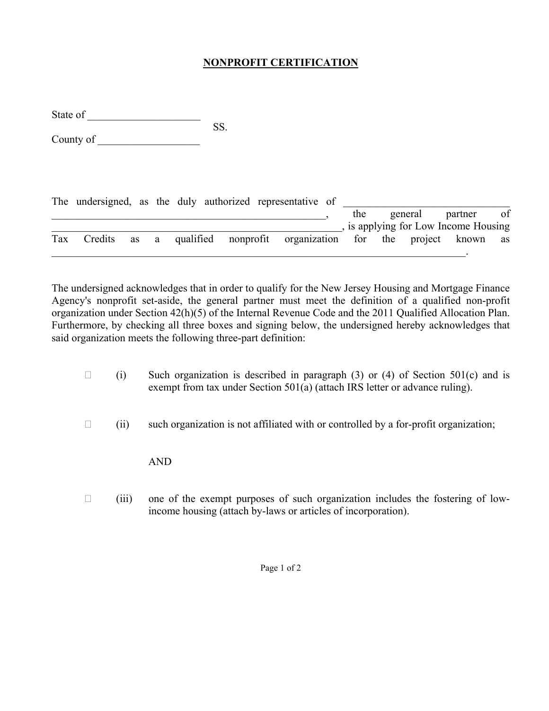## **NONPROFIT CERTIFICATION**

State of SS.

County of

|     | The undersigned, as the duly authorized representative of |  |  |  |     |         |                                                             |    |
|-----|-----------------------------------------------------------|--|--|--|-----|---------|-------------------------------------------------------------|----|
|     |                                                           |  |  |  | the | general | partner                                                     | of |
|     |                                                           |  |  |  |     |         | , is applying for Low Income Housing                        |    |
| Tax | Credits                                                   |  |  |  |     |         | as a qualified nonprofit organization for the project known | as |
|     |                                                           |  |  |  |     |         |                                                             |    |

The undersigned acknowledges that in order to qualify for the New Jersey Housing and Mortgage Finance Agency's nonprofit set-aside, the general partner must meet the definition of a qualified non-profit organization under Section 42(h)(5) of the Internal Revenue Code and the 2011 Qualified Allocation Plan. Furthermore, by checking all three boxes and signing below, the undersigned hereby acknowledges that said organization meets the following three-part definition:

- $\Box$  (i) Such organization is described in paragraph (3) or (4) of Section 501(c) and is exempt from tax under Section 501(a) (attach IRS letter or advance ruling).
- $\Box$  (ii) such organization is not affiliated with or controlled by a for-profit organization;

AND

 $\Box$  (iii) one of the exempt purposes of such organization includes the fostering of lowincome housing (attach by-laws or articles of incorporation).

Page 1 of 2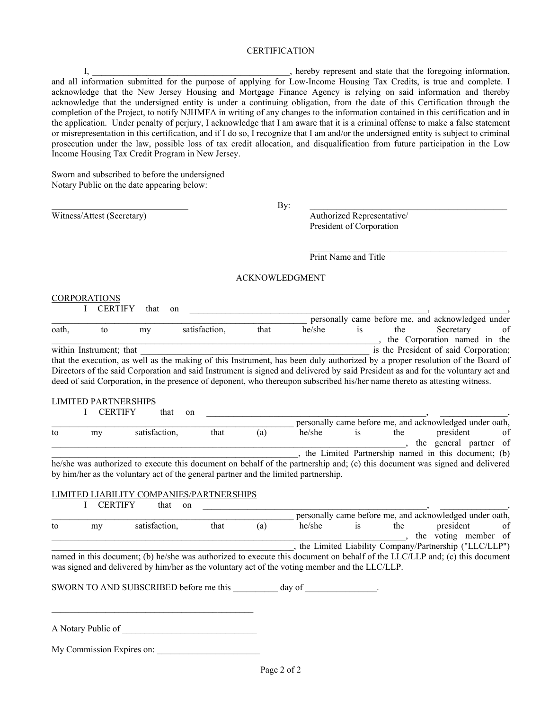#### CERTIFICATION

 I, \_\_\_\_\_\_\_\_\_\_\_\_\_\_\_\_\_\_\_\_\_\_\_\_\_\_\_\_\_\_\_\_\_\_\_\_\_\_\_\_\_\_\_\_, hereby represent and state that the foregoing information, and all information submitted for the purpose of applying for Low-Income Housing Tax Credits, is true and complete. I acknowledge that the New Jersey Housing and Mortgage Finance Agency is relying on said information and thereby acknowledge that the undersigned entity is under a continuing obligation, from the date of this Certification through the completion of the Project, to notify NJHMFA in writing of any changes to the information contained in this certification and in the application. Under penalty of perjury, I acknowledge that I am aware that it is a criminal offense to make a false statement or misrepresentation in this certification, and if I do so, I recognize that I am and/or the undersigned entity is subject to criminal prosecution under the law, possible loss of tax credit allocation, and disqualification from future participation in the Low Income Housing Tax Credit Program in New Jersey.

Sworn and subscribed to before the undersigned Notary Public on the date appearing below:

By: the contract of the contract of the contract of the contract of the contract of the contract of the contract of the contract of the contract of the contract of the contract of the contract of the contract of the contra

Witness/Attest (Secretary) Authorized Representative/ President of Corporation

Print Name and Title

#### ACKNOWLEDGMENT

 $\mathcal{L}_\text{max}$  and the contract of the contract of the contract of the contract of the contract of the contract of the contract of the contract of the contract of the contract of the contract of the contract of the contrac

## CORPORATIONS<br>L. CERTIEV, that an

|       | U CERTIFY               | that | on            |      |                                                                                                                                  |           |     |                                                   |    |
|-------|-------------------------|------|---------------|------|----------------------------------------------------------------------------------------------------------------------------------|-----------|-----|---------------------------------------------------|----|
|       |                         |      |               |      |                                                                                                                                  |           |     | personally came before me, and acknowledged under |    |
| oath, | to                      | my   | satisfaction. | that | he/she                                                                                                                           | <b>1S</b> | the | Secretary                                         | of |
|       |                         |      |               |      |                                                                                                                                  |           |     | the Corporation named in the                      |    |
|       | within Instrument; that |      |               |      |                                                                                                                                  |           |     | is the President of said Corporation;             |    |
|       |                         |      |               |      | that the execution, as well as the making of this Instrument, has been duly authorized by a proper resolution of the Board of    |           |     |                                                   |    |
|       |                         |      |               |      | Directors of the said Corporation and said Instrument is signed and delivered by said President as and for the voluntary act and |           |     |                                                   |    |
|       |                         |      |               |      | deed of said Corporation, in the presence of deponent, who thereupon subscribed his/her name thereto as attesting witness.       |           |     |                                                   |    |
|       |                         |      |               |      |                                                                                                                                  |           |     |                                                   |    |

#### LIMITED PARTNERSHIPS

|    | <b>CERTIFY</b> | that<br>on                                                                                                                            |      |     |        |     |                                                         |    |
|----|----------------|---------------------------------------------------------------------------------------------------------------------------------------|------|-----|--------|-----|---------------------------------------------------------|----|
|    |                |                                                                                                                                       |      |     |        |     | personally came before me, and acknowledged under oath, |    |
| to | my             | satisfaction,                                                                                                                         | that | (a) | he/she | the | president                                               | of |
|    |                |                                                                                                                                       |      |     |        |     | the general partner of                                  |    |
|    |                |                                                                                                                                       |      |     |        |     | the Limited Partnership named in this document; (b)     |    |
|    |                | $1.1/1.1$ and such subset to consente this decompany on $1.1/1.1$ and $2.4.1$ and $1.1/1.1$ and $1.1/1.1$ and $1.1/1.1$ and $1.1/1.1$ |      |     |        |     |                                                         |    |

he/she was authorized to execute this document on behalf of the partnership and; (c) this document was signed and delivered by him/her as the voluntary act of the general partner and the limited partnership.

#### LIMITED LIABILITY COMPANIES/PARTNERSHIPS

|    | <b>CERTIFY</b> | that<br>on                                                                                                                                                                                                                   |      |     |        |           |     |                                                         |    |
|----|----------------|------------------------------------------------------------------------------------------------------------------------------------------------------------------------------------------------------------------------------|------|-----|--------|-----------|-----|---------------------------------------------------------|----|
|    |                |                                                                                                                                                                                                                              |      |     |        |           |     | personally came before me, and acknowledged under oath, |    |
| to | my             | satisfaction,                                                                                                                                                                                                                | that | (a) | he/she | <b>1S</b> | the | president                                               | of |
|    |                |                                                                                                                                                                                                                              |      |     |        |           |     | the voting member of                                    |    |
|    |                |                                                                                                                                                                                                                              |      |     |        |           |     | , the Limited Liability Company/Partnership ("LLC/LLP") |    |
|    |                | named in this document; (b) he/she was authorized to execute this document on behalf of the LLC/LLP and; (c) this document<br>was signed and delivered by him/her as the voluntary act of the voting member and the LLC/LLP. |      |     |        |           |     |                                                         |    |

SWORN TO AND SUBSCRIBED before me this day of  $\qquad \qquad$ 

A Notary Public of

My Commission Expires on: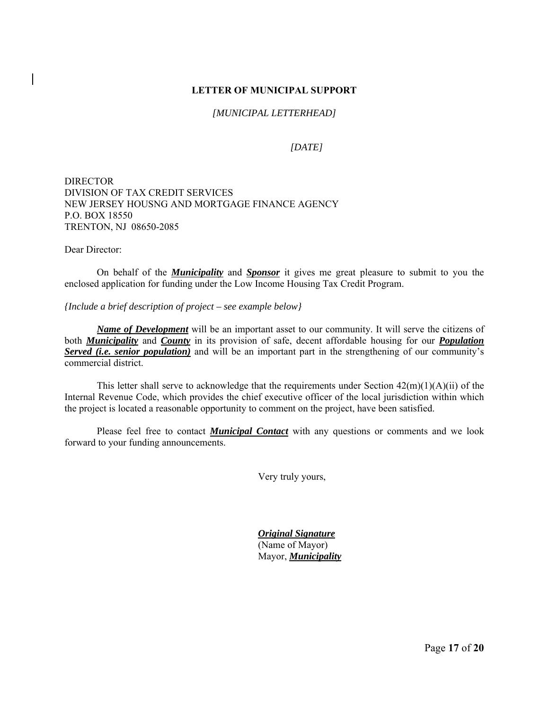#### **LETTER OF MUNICIPAL SUPPORT**

*[MUNICIPAL LETTERHEAD]*

*[DATE]*

DIRECTOR DIVISION OF TAX CREDIT SERVICES NEW JERSEY HOUSNG AND MORTGAGE FINANCE AGENCY P.O. BOX 18550 TRENTON, NJ 08650-2085

Dear Director:

 On behalf of the *Municipality* and *Sponsor* it gives me great pleasure to submit to you the enclosed application for funding under the Low Income Housing Tax Credit Program.

*{Include a brief description of project – see example below}*

*Name of Development* will be an important asset to our community. It will serve the citizens of both *Municipality* and *County* in its provision of safe, decent affordable housing for our *Population Served (i.e. senior population)* and will be an important part in the strengthening of our community's commercial district.

This letter shall serve to acknowledge that the requirements under Section  $42(m)(1)(A)(ii)$  of the Internal Revenue Code, which provides the chief executive officer of the local jurisdiction within which the project is located a reasonable opportunity to comment on the project, have been satisfied.

 Please feel free to contact *Municipal Contact* with any questions or comments and we look forward to your funding announcements.

Very truly yours,

 *Original Signature* (Name of Mayor) Mayor, *Municipality*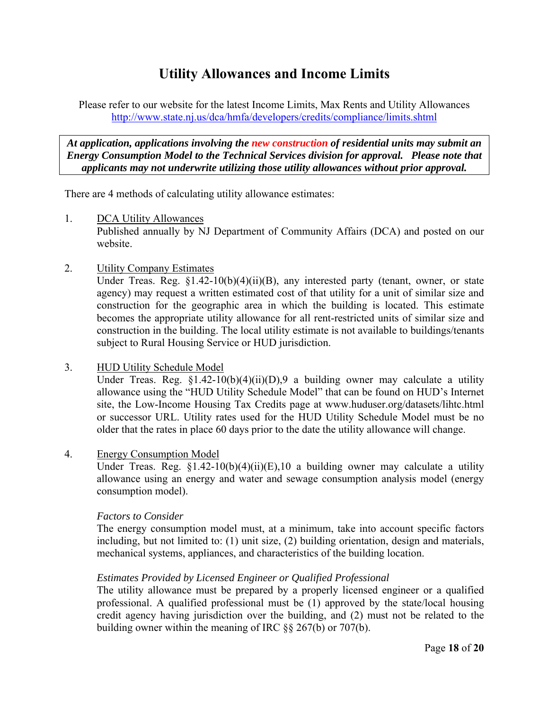# **Utility Allowances and Income Limits**

Please refer to our website for the latest Income Limits, Max Rents and Utility Allowances http://www.state.nj.us/dca/hmfa/developers/credits/compliance/limits.shtml

*At application, applications involving the new construction of residential units may submit an Energy Consumption Model to the Technical Services division for approval. Please note that applicants may not underwrite utilizing those utility allowances without prior approval.* 

There are 4 methods of calculating utility allowance estimates:

1. DCA Utility Allowances

 Published annually by NJ Department of Community Affairs (DCA) and posted on our website.

2. Utility Company Estimates

Under Treas. Reg.  $\S1.42-10(b)(4)(ii)(B)$ , any interested party (tenant, owner, or state agency) may request a written estimated cost of that utility for a unit of similar size and construction for the geographic area in which the building is located. This estimate becomes the appropriate utility allowance for all rent-restricted units of similar size and construction in the building. The local utility estimate is not available to buildings/tenants subject to Rural Housing Service or HUD jurisdiction.

3. HUD Utility Schedule Model

Under Treas. Reg.  $$1.42-10(b)(4)(ii)(D), 9$  a building owner may calculate a utility allowance using the "HUD Utility Schedule Model" that can be found on HUD's Internet site, the Low-Income Housing Tax Credits page at www.huduser.org/datasets/lihtc.html or successor URL. Utility rates used for the HUD Utility Schedule Model must be no older that the rates in place 60 days prior to the date the utility allowance will change.

4. Energy Consumption Model

Under Treas. Reg.  $\S1.42-10(b)(4)(ii)(E)$ , 10 a building owner may calculate a utility allowance using an energy and water and sewage consumption analysis model (energy consumption model).

### *Factors to Consider*

 The energy consumption model must, at a minimum, take into account specific factors including, but not limited to: (1) unit size, (2) building orientation, design and materials, mechanical systems, appliances, and characteristics of the building location.

### *Estimates Provided by Licensed Engineer or Qualified Professional*

 The utility allowance must be prepared by a properly licensed engineer or a qualified professional. A qualified professional must be (1) approved by the state/local housing credit agency having jurisdiction over the building, and (2) must not be related to the building owner within the meaning of IRC §§ 267(b) or 707(b).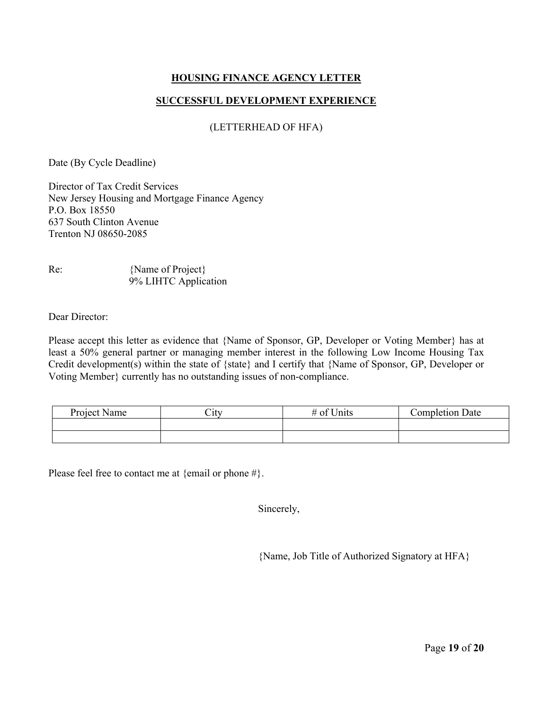### **HOUSING FINANCE AGENCY LETTER**

#### **SUCCESSFUL DEVELOPMENT EXPERIENCE**

#### (LETTERHEAD OF HFA)

Date (By Cycle Deadline)

Director of Tax Credit Services New Jersey Housing and Mortgage Finance Agency P.O. Box 18550 637 South Clinton Avenue Trenton NJ 08650-2085

| Re: | {Name of Project}    |
|-----|----------------------|
|     | 9% LIHTC Application |

Dear Director:

Please accept this letter as evidence that {Name of Sponsor, GP, Developer or Voting Member} has at least a 50% general partner or managing member interest in the following Low Income Housing Tax Credit development(s) within the state of {state} and I certify that {Name of Sponsor, GP, Developer or Voting Member} currently has no outstanding issues of non-compliance.

| Project Name | City | # of Units | <b>Completion Date</b> |
|--------------|------|------------|------------------------|
|              |      |            |                        |
|              |      |            |                        |

Please feel free to contact me at {email or phone #}.

Sincerely,

{Name, Job Title of Authorized Signatory at HFA}